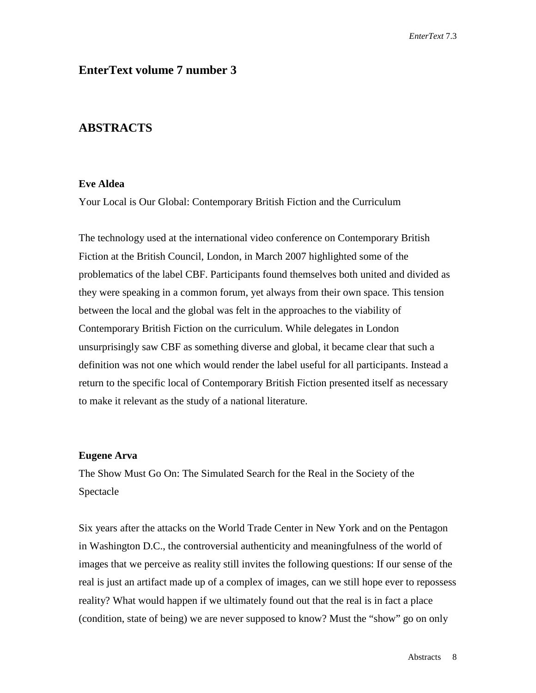# **EnterText volume 7 number 3**

# **ABSTRACTS**

# **Eve Aldea**

Your Local is Our Global: Contemporary British Fiction and the Curriculum

The technology used at the international video conference on Contemporary British Fiction at the British Council, London, in March 2007 highlighted some of the problematics of the label CBF. Participants found themselves both united and divided as they were speaking in a common forum, yet always from their own space. This tension between the local and the global was felt in the approaches to the viability of Contemporary British Fiction on the curriculum. While delegates in London unsurprisingly saw CBF as something diverse and global, it became clear that such a definition was not one which would render the label useful for all participants. Instead a return to the specific local of Contemporary British Fiction presented itself as necessary to make it relevant as the study of a national literature.

# **Eugene Arva**

The Show Must Go On: The Simulated Search for the Real in the Society of the Spectacle

Six years after the attacks on the World Trade Center in New York and on the Pentagon in Washington D.C., the controversial authenticity and meaningfulness of the world of images that we perceive as reality still invites the following questions: If our sense of the real is just an artifact made up of a complex of images, can we still hope ever to repossess reality? What would happen if we ultimately found out that the real is in fact a place (condition, state of being) we are never supposed to know? Must the "show" go on only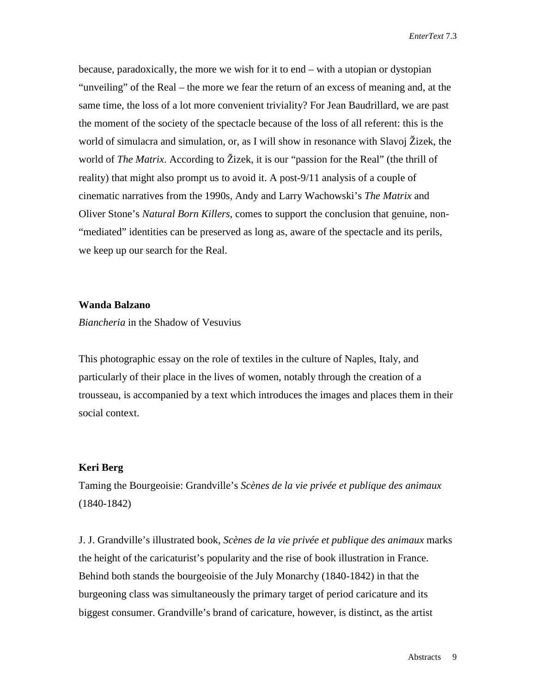because, paradoxically, the more we wish for it to end – with a utopian or dystopian "unveiling" of the Real – the more we fear the return of an excess of meaning and, at the same time, the loss of a lot more convenient triviality? For Jean Baudrillard, we are past the moment of the society of the spectacle because of the loss of all referent: this is the world of simulacra and simulation, or, as I will show in resonance with Slavoj Žizek, the world of *The Matrix*. According to Žizek, it is our "passion for the Real" (the thrill of reality) that might also prompt us to avoid it. A post-9/11 analysis of a couple of cinematic narratives from the 1990s, Andy and Larry Wachowski's *The Matrix* and Oliver Stone's *Natural Born Killers*, comes to support the conclusion that genuine, non- "mediated" identities can be preserved as long as, aware of the spectacle and its perils, we keep up our search for the Real.

# **Wanda Balzano**

*Biancheria* in the Shadow of Vesuvius

This photographic essay on the role of textiles in the culture of Naples, Italy, and particularly of their place in the lives of women, notably through the creation of a trousseau, is accompanied by a text which introduces the images and places them in their social context.

# **Keri Berg**

Taming the Bourgeoisie: Grandville's *Scènes de la vie privée et publique des animaux* (1840-1842)

J. J. Grandville's illustrated book, *Scènes de la vie privée et publique des animaux* marks the height of the caricaturist's popularity and the rise of book illustration in France. Behind both stands the bourgeoisie of the July Monarchy (1840-1842) in that the burgeoning class was simultaneously the primary target of period caricature and its biggest consumer. Grandville's brand of caricature, however, is distinct, as the artist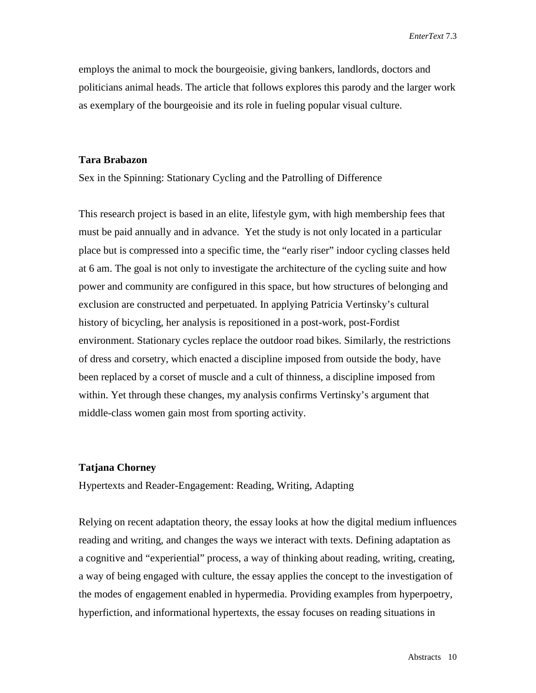*EnterText* 7.3

employs the animal to mock the bourgeoisie, giving bankers, landlords, doctors and politicians animal heads. The article that follows explores this parody and the larger work as exemplary of the bourgeoisie and its role in fueling popular visual culture.

#### **Tara Brabazon**

Sex in the Spinning: Stationary Cycling and the Patrolling of Difference

This research project is based in an elite, lifestyle gym, with high membership fees that must be paid annually and in advance. Yet the study is not only located in a particular place but is compressed into a specific time, the "early riser" indoor cycling classes held at 6 am. The goal is not only to investigate the architecture of the cycling suite and how power and community are configured in this space, but how structures of belonging and exclusion are constructed and perpetuated. In applying Patricia Vertinsky's cultural history of bicycling, her analysis is repositioned in a post-work, post-Fordist environment. Stationary cycles replace the outdoor road bikes. Similarly, the restrictions of dress and corsetry, which enacted a discipline imposed from outside the body, have been replaced by a corset of muscle and a cult of thinness, a discipline imposed from within. Yet through these changes, my analysis confirms Vertinsky's argument that middle-class women gain most from sporting activity.

### **Tatjana Chorney**

Hypertexts and Reader-Engagement: Reading, Writing, Adapting

Relying on recent adaptation theory, the essay looks at how the digital medium influences reading and writing, and changes the ways we interact with texts. Defining adaptation as a cognitive and "experiential" process, a way of thinking about reading, writing, creating, a way of being engaged with culture, the essay applies the concept to the investigation of the modes of engagement enabled in hypermedia. Providing examples from hyperpoetry, hyperfiction, and informational hypertexts, the essay focuses on reading situations in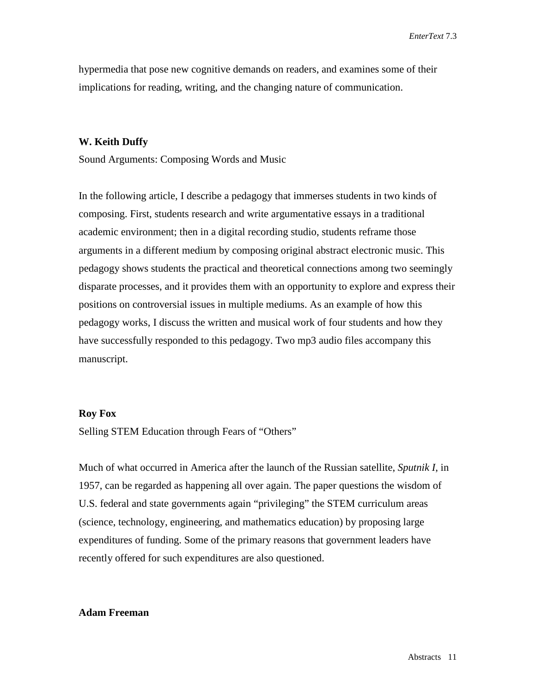hypermedia that pose new cognitive demands on readers, and examines some of their implications for reading, writing, and the changing nature of communication.

#### **W. Keith Duffy**

Sound Arguments: Composing Words and Music

In the following article, I describe a pedagogy that immerses students in two kinds of composing. First, students research and write argumentative essays in a traditional academic environment; then in a digital recording studio, students reframe those arguments in a different medium by composing original abstract electronic music. This pedagogy shows students the practical and theoretical connections among two seemingly disparate processes, and it provides them with an opportunity to explore and express their positions on controversial issues in multiple mediums. As an example of how this pedagogy works, I discuss the written and musical work of four students and how they have successfully responded to this pedagogy. Two mp3 audio files accompany this manuscript.

### **Roy Fox**

Selling STEM Education through Fears of "Others"

Much of what occurred in America after the launch of the Russian satellite, *Sputnik I*, in 1957, can be regarded as happening all over again. The paper questions the wisdom of U.S. federal and state governments again "privileging" the STEM curriculum areas (science, technology, engineering, and mathematics education) by proposing large expenditures of funding. Some of the primary reasons that government leaders have recently offered for such expenditures are also questioned.

# **Adam Freeman**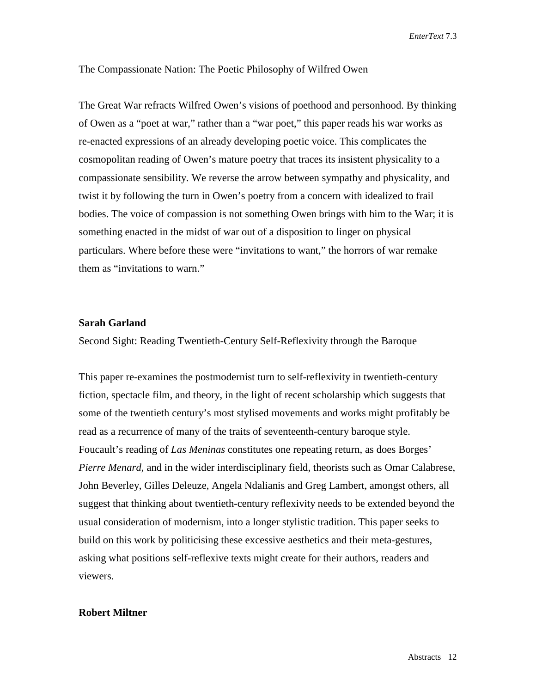*EnterText* 7.3

The Compassionate Nation: The Poetic Philosophy of Wilfred Owen

The Great War refracts Wilfred Owen's visions of poethood and personhood. By thinking of Owen as a "poet at war," rather than a "war poet," this paper reads his war works as re-enacted expressions of an already developing poetic voice. This complicates the cosmopolitan reading of Owen's mature poetry that traces its insistent physicality to a compassionate sensibility. We reverse the arrow between sympathy and physicality, and twist it by following the turn in Owen's poetry from a concern with idealized to frail bodies. The voice of compassion is not something Owen brings with him to the War; it is something enacted in the midst of war out of a disposition to linger on physical particulars. Where before these were "invitations to want," the horrors of war remake them as "invitations to warn."

# **Sarah Garland**

Second Sight: Reading Twentieth-Century Self-Reflexivity through the Baroque

This paper re-examines the postmodernist turn to self-reflexivity in twentieth-century fiction, spectacle film, and theory, in the light of recent scholarship which suggests that some of the twentieth century's most stylised movements and works might profitably be read as a recurrence of many of the traits of seventeenth-century baroque style. Foucault's reading of *Las Meninas* constitutes one repeating return, as does Borges' *Pierre Menard,* and in the wider interdisciplinary field, theorists such as Omar Calabrese, John Beverley, Gilles Deleuze, Angela Ndalianis and Greg Lambert, amongst others, all suggest that thinking about twentieth-century reflexivity needs to be extended beyond the usual consideration of modernism, into a longer stylistic tradition. This paper seeks to build on this work by politicising these excessive aesthetics and their meta-gestures, asking what positions self-reflexive texts might create for their authors, readers and viewers.

# **Robert Miltner**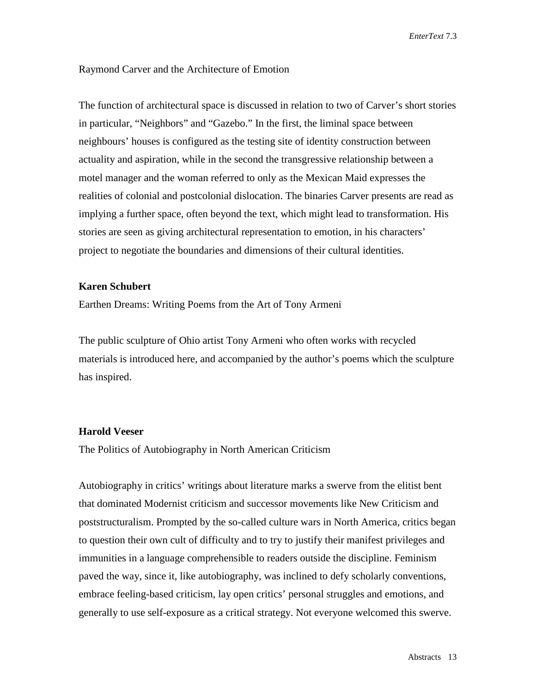*EnterText* 7.3

# Raymond Carver and the Architecture of Emotion

The function of architectural space is discussed in relation to two of Carver's short stories in particular, "Neighbors" and "Gazebo." In the first, the liminal space between neighbours' houses is configured as the testing site of identity construction between actuality and aspiration, while in the second the transgressive relationship between a motel manager and the woman referred to only as the Mexican Maid expresses the realities of colonial and postcolonial dislocation. The binaries Carver presents are read as implying a further space, often beyond the text, which might lead to transformation. His stories are seen as giving architectural representation to emotion, in his characters' project to negotiate the boundaries and dimensions of their cultural identities.

#### **Karen Schubert**

Earthen Dreams: Writing Poems from the Art of Tony Armeni

The public sculpture of Ohio artist Tony Armeni who often works with recycled materials is introduced here, and accompanied by the author's poems which the sculpture has inspired.

#### **Harold Veeser**

The Politics of Autobiography in North American Criticism

Autobiography in critics' writings about literature marks a swerve from the elitist bent that dominated Modernist criticism and successor movements like New Criticism and poststructuralism. Prompted by the so-called culture wars in North America, critics began to question their own cult of difficulty and to try to justify their manifest privileges and immunities in a language comprehensible to readers outside the discipline. Feminism paved the way, since it, like autobiography, was inclined to defy scholarly conventions, embrace feeling-based criticism, lay open critics' personal struggles and emotions, and generally to use self-exposure as a critical strategy. Not everyone welcomed this swerve.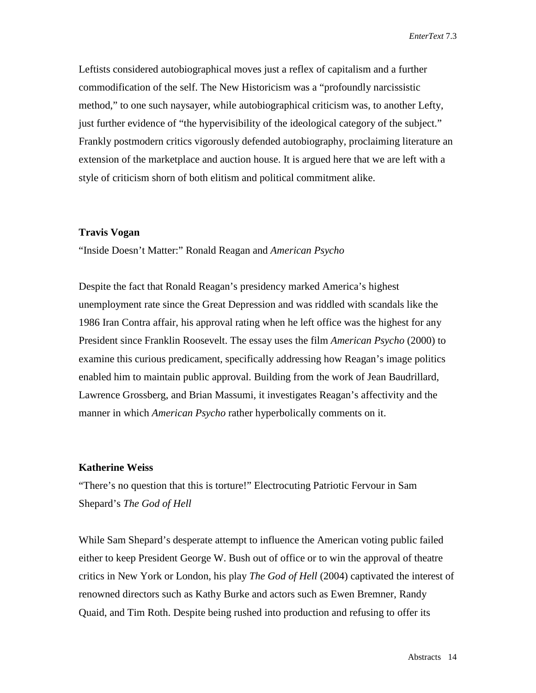Leftists considered autobiographical moves just a reflex of capitalism and a further commodification of the self. The New Historicism was a "profoundly narcissistic method," to one such naysayer, while autobiographical criticism was, to another Lefty, just further evidence of "the hypervisibility of the ideological category of the subject." Frankly postmodern critics vigorously defended autobiography, proclaiming literature an extension of the marketplace and auction house. It is argued here that we are left with a style of criticism shorn of both elitism and political commitment alike.

#### **Travis Vogan**

"Inside Doesn't Matter:" Ronald Reagan and *American Psycho*

Despite the fact that Ronald Reagan's presidency marked America's highest unemployment rate since the Great Depression and was riddled with scandals like the 1986 Iran Contra affair, his approval rating when he left office was the highest for any President since Franklin Roosevelt. The essay uses the film *American Psycho* (2000) to examine this curious predicament, specifically addressing how Reagan's image politics enabled him to maintain public approval. Building from the work of Jean Baudrillard, Lawrence Grossberg, and Brian Massumi, it investigates Reagan's affectivity and the manner in which *American Psycho* rather hyperbolically comments on it.

#### **Katherine Weiss**

"There's no question that this is torture!" Electrocuting Patriotic Fervour in Sam Shepard's *The God of Hell*

While Sam Shepard's desperate attempt to influence the American voting public failed either to keep President George W. Bush out of office or to win the approval of theatre critics in New York or London, his play *The God of Hell* (2004) captivated the interest of renowned directors such as Kathy Burke and actors such as Ewen Bremner, Randy Quaid, and Tim Roth. Despite being rushed into production and refusing to offer its